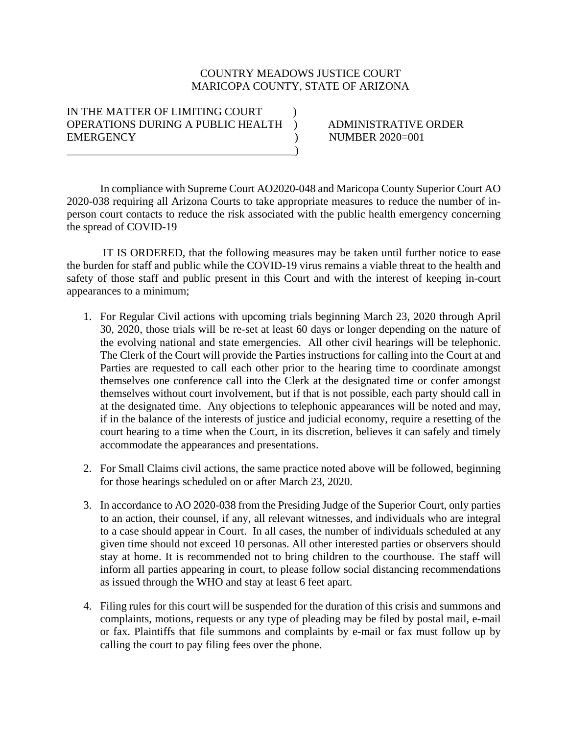## COUNTRY MEADOWS JUSTICE COURT MARICOPA COUNTY, STATE OF ARIZONA

## IN THE MATTER OF LIMITING COURT OPERATIONS DURING A PUBLIC HEALTH ) ADMINISTRATIVE ORDER EMERGENCY (and the state of the state of the state of the NUMBER 2020=001  $\qquad \qquad \qquad \qquad \qquad$

In compliance with Supreme Court AO2020-048 and Maricopa County Superior Court AO 2020-038 requiring all Arizona Courts to take appropriate measures to reduce the number of inperson court contacts to reduce the risk associated with the public health emergency concerning the spread of COVID-19

IT IS ORDERED, that the following measures may be taken until further notice to ease the burden for staff and public while the COVID-19 virus remains a viable threat to the health and safety of those staff and public present in this Court and with the interest of keeping in-court appearances to a minimum;

- 1. For Regular Civil actions with upcoming trials beginning March 23, 2020 through April 30, 2020, those trials will be re-set at least 60 days or longer depending on the nature of the evolving national and state emergencies. All other civil hearings will be telephonic. The Clerk of the Court will provide the Parties instructions for calling into the Court at and Parties are requested to call each other prior to the hearing time to coordinate amongst themselves one conference call into the Clerk at the designated time or confer amongst themselves without court involvement, but if that is not possible, each party should call in at the designated time. Any objections to telephonic appearances will be noted and may, if in the balance of the interests of justice and judicial economy, require a resetting of the court hearing to a time when the Court, in its discretion, believes it can safely and timely accommodate the appearances and presentations.
- 2. For Small Claims civil actions, the same practice noted above will be followed, beginning for those hearings scheduled on or after March 23, 2020.
- 3. In accordance to AO 2020-038 from the Presiding Judge of the Superior Court, only parties to an action, their counsel, if any, all relevant witnesses, and individuals who are integral to a case should appear in Court. In all cases, the number of individuals scheduled at any given time should not exceed 10 personas. All other interested parties or observers should stay at home. It is recommended not to bring children to the courthouse. The staff will inform all parties appearing in court, to please follow social distancing recommendations as issued through the WHO and stay at least 6 feet apart.
- 4. Filing rules for this court will be suspended for the duration of this crisis and summons and complaints, motions, requests or any type of pleading may be filed by postal mail, e-mail or fax. Plaintiffs that file summons and complaints by e-mail or fax must follow up by calling the court to pay filing fees over the phone.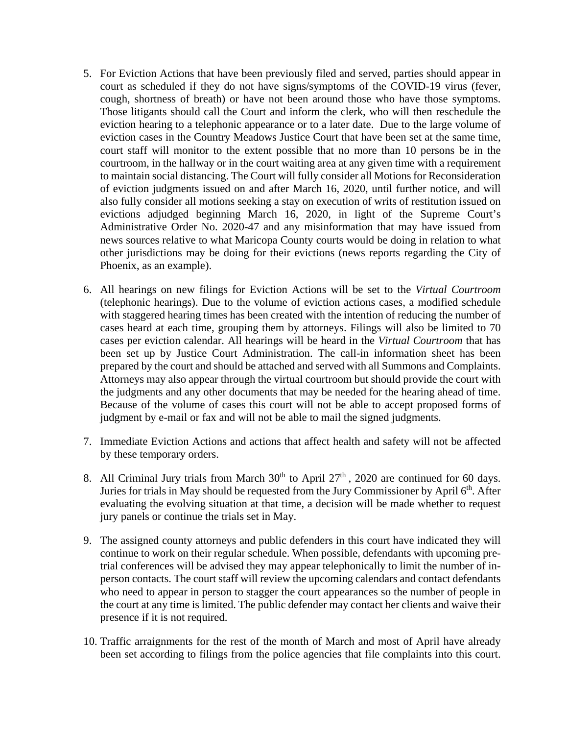- 5. For Eviction Actions that have been previously filed and served, parties should appear in court as scheduled if they do not have signs/symptoms of the COVID-19 virus (fever, cough, shortness of breath) or have not been around those who have those symptoms. Those litigants should call the Court and inform the clerk, who will then reschedule the eviction hearing to a telephonic appearance or to a later date. Due to the large volume of eviction cases in the Country Meadows Justice Court that have been set at the same time, court staff will monitor to the extent possible that no more than 10 persons be in the courtroom, in the hallway or in the court waiting area at any given time with a requirement to maintain social distancing. The Court will fully consider all Motions for Reconsideration of eviction judgments issued on and after March 16, 2020, until further notice, and will also fully consider all motions seeking a stay on execution of writs of restitution issued on evictions adjudged beginning March 16, 2020, in light of the Supreme Court's Administrative Order No. 2020-47 and any misinformation that may have issued from news sources relative to what Maricopa County courts would be doing in relation to what other jurisdictions may be doing for their evictions (news reports regarding the City of Phoenix, as an example).
- 6. All hearings on new filings for Eviction Actions will be set to the *Virtual Courtroom* (telephonic hearings). Due to the volume of eviction actions cases, a modified schedule with staggered hearing times has been created with the intention of reducing the number of cases heard at each time, grouping them by attorneys. Filings will also be limited to 70 cases per eviction calendar. All hearings will be heard in the *Virtual Courtroom* that has been set up by Justice Court Administration. The call-in information sheet has been prepared by the court and should be attached and served with all Summons and Complaints. Attorneys may also appear through the virtual courtroom but should provide the court with the judgments and any other documents that may be needed for the hearing ahead of time. Because of the volume of cases this court will not be able to accept proposed forms of judgment by e-mail or fax and will not be able to mail the signed judgments.
- 7. Immediate Eviction Actions and actions that affect health and safety will not be affected by these temporary orders.
- 8. All Criminal Jury trials from March  $30<sup>th</sup>$  to April  $27<sup>th</sup>$ ,  $2020$  are continued for 60 days. Juries for trials in May should be requested from the Jury Commissioner by April 6<sup>th</sup>. After evaluating the evolving situation at that time, a decision will be made whether to request jury panels or continue the trials set in May.
- 9. The assigned county attorneys and public defenders in this court have indicated they will continue to work on their regular schedule. When possible, defendants with upcoming pretrial conferences will be advised they may appear telephonically to limit the number of inperson contacts. The court staff will review the upcoming calendars and contact defendants who need to appear in person to stagger the court appearances so the number of people in the court at any time is limited. The public defender may contact her clients and waive their presence if it is not required.
- 10. Traffic arraignments for the rest of the month of March and most of April have already been set according to filings from the police agencies that file complaints into this court.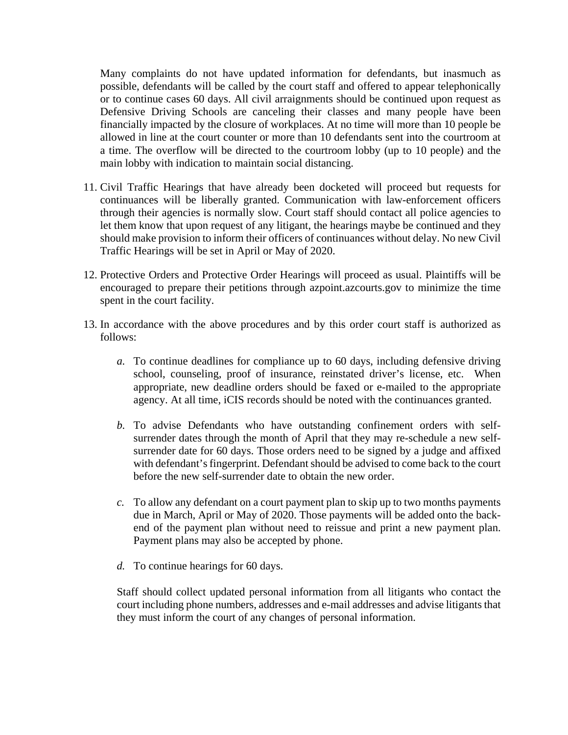Many complaints do not have updated information for defendants, but inasmuch as possible, defendants will be called by the court staff and offered to appear telephonically or to continue cases 60 days. All civil arraignments should be continued upon request as Defensive Driving Schools are canceling their classes and many people have been financially impacted by the closure of workplaces. At no time will more than 10 people be allowed in line at the court counter or more than 10 defendants sent into the courtroom at a time. The overflow will be directed to the courtroom lobby (up to 10 people) and the main lobby with indication to maintain social distancing.

- 11. Civil Traffic Hearings that have already been docketed will proceed but requests for continuances will be liberally granted. Communication with law-enforcement officers through their agencies is normally slow. Court staff should contact all police agencies to let them know that upon request of any litigant, the hearings maybe be continued and they should make provision to inform their officers of continuances without delay. No new Civil Traffic Hearings will be set in April or May of 2020.
- 12. Protective Orders and Protective Order Hearings will proceed as usual. Plaintiffs will be encouraged to prepare their petitions through azpoint.azcourts.gov to minimize the time spent in the court facility.
- 13. In accordance with the above procedures and by this order court staff is authorized as follows:
	- *a.* To continue deadlines for compliance up to 60 days, including defensive driving school, counseling, proof of insurance, reinstated driver's license, etc. When appropriate, new deadline orders should be faxed or e-mailed to the appropriate agency. At all time, iCIS records should be noted with the continuances granted.
	- *b.* To advise Defendants who have outstanding confinement orders with selfsurrender dates through the month of April that they may re-schedule a new selfsurrender date for 60 days. Those orders need to be signed by a judge and affixed with defendant's fingerprint. Defendant should be advised to come back to the court before the new self-surrender date to obtain the new order.
	- *c.* To allow any defendant on a court payment plan to skip up to two months payments due in March, April or May of 2020. Those payments will be added onto the backend of the payment plan without need to reissue and print a new payment plan. Payment plans may also be accepted by phone.
	- *d.* To continue hearings for 60 days.

Staff should collect updated personal information from all litigants who contact the court including phone numbers, addresses and e-mail addresses and advise litigants that they must inform the court of any changes of personal information.